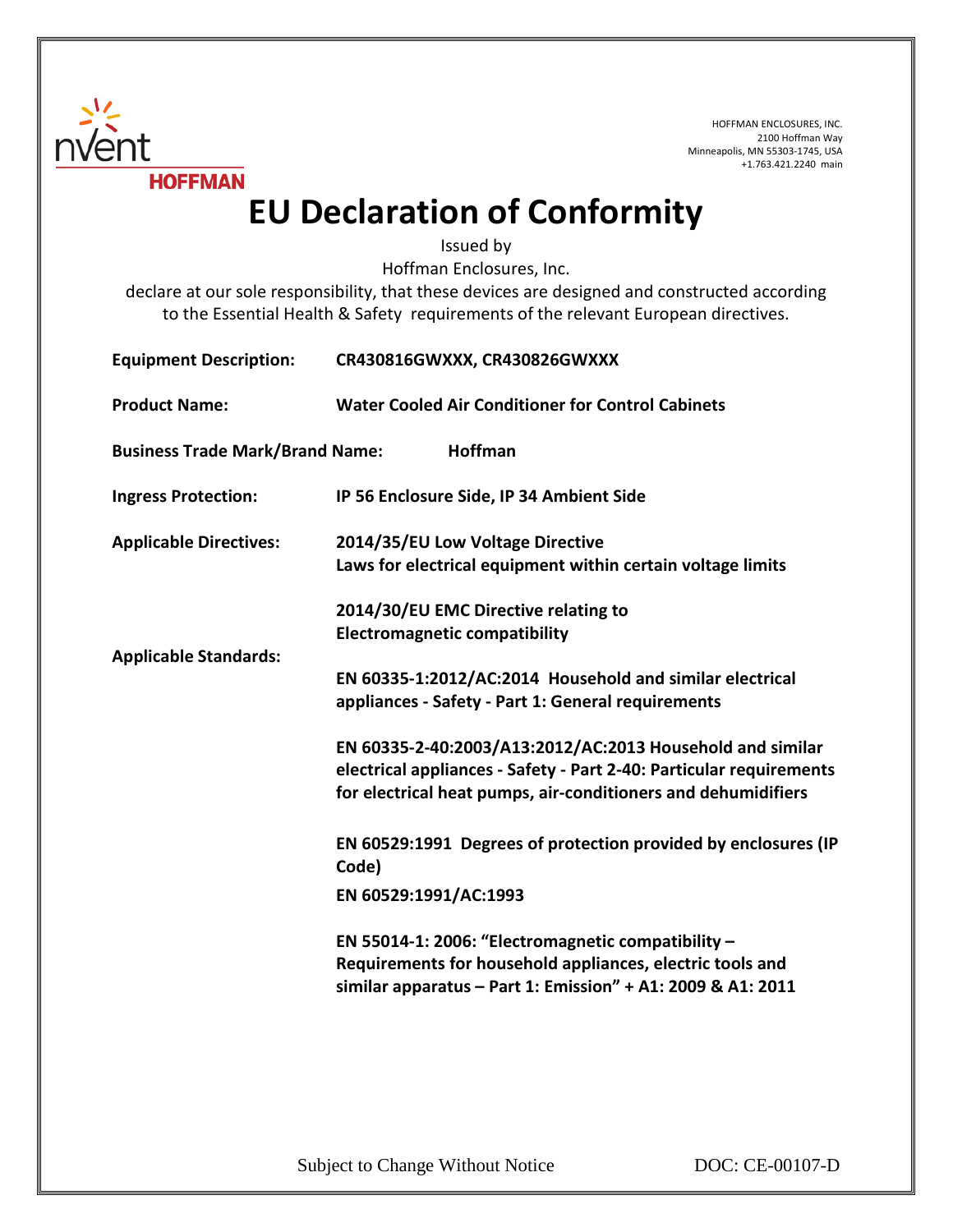

HOFFMAN ENCLOSURES, INC. 2100 Hoffman Way Minneapolis, MN 55303-1745, USA +1.763.421.2240 main

## **EU Declaration of Conformity**

Issued by

Hoffman Enclosures, Inc.

declare at our sole responsibility, that these devices are designed and constructed according to the Essential Health & Safety requirements of the relevant European directives.

| <b>Equipment Description:</b>          | CR430816GWXXX, CR430826GWXXX                                                                                                                                                                      |
|----------------------------------------|---------------------------------------------------------------------------------------------------------------------------------------------------------------------------------------------------|
| <b>Product Name:</b>                   | <b>Water Cooled Air Conditioner for Control Cabinets</b>                                                                                                                                          |
| <b>Business Trade Mark/Brand Name:</b> | <b>Hoffman</b>                                                                                                                                                                                    |
| <b>Ingress Protection:</b>             | IP 56 Enclosure Side, IP 34 Ambient Side                                                                                                                                                          |
| <b>Applicable Directives:</b>          | 2014/35/EU Low Voltage Directive<br>Laws for electrical equipment within certain voltage limits                                                                                                   |
| <b>Applicable Standards:</b>           | 2014/30/EU EMC Directive relating to<br><b>Electromagnetic compatibility</b>                                                                                                                      |
|                                        | EN 60335-1:2012/AC:2014 Household and similar electrical<br>appliances - Safety - Part 1: General requirements                                                                                    |
|                                        | EN 60335-2-40:2003/A13:2012/AC:2013 Household and similar<br>electrical appliances - Safety - Part 2-40: Particular requirements<br>for electrical heat pumps, air-conditioners and dehumidifiers |
|                                        | EN 60529:1991 Degrees of protection provided by enclosures (IP<br>Code)                                                                                                                           |
|                                        | EN 60529:1991/AC:1993                                                                                                                                                                             |
|                                        | EN 55014-1: 2006: "Electromagnetic compatibility -<br>Requirements for household appliances, electric tools and<br>similar apparatus - Part 1: Emission" + A1: 2009 & A1: 2011                    |
|                                        |                                                                                                                                                                                                   |